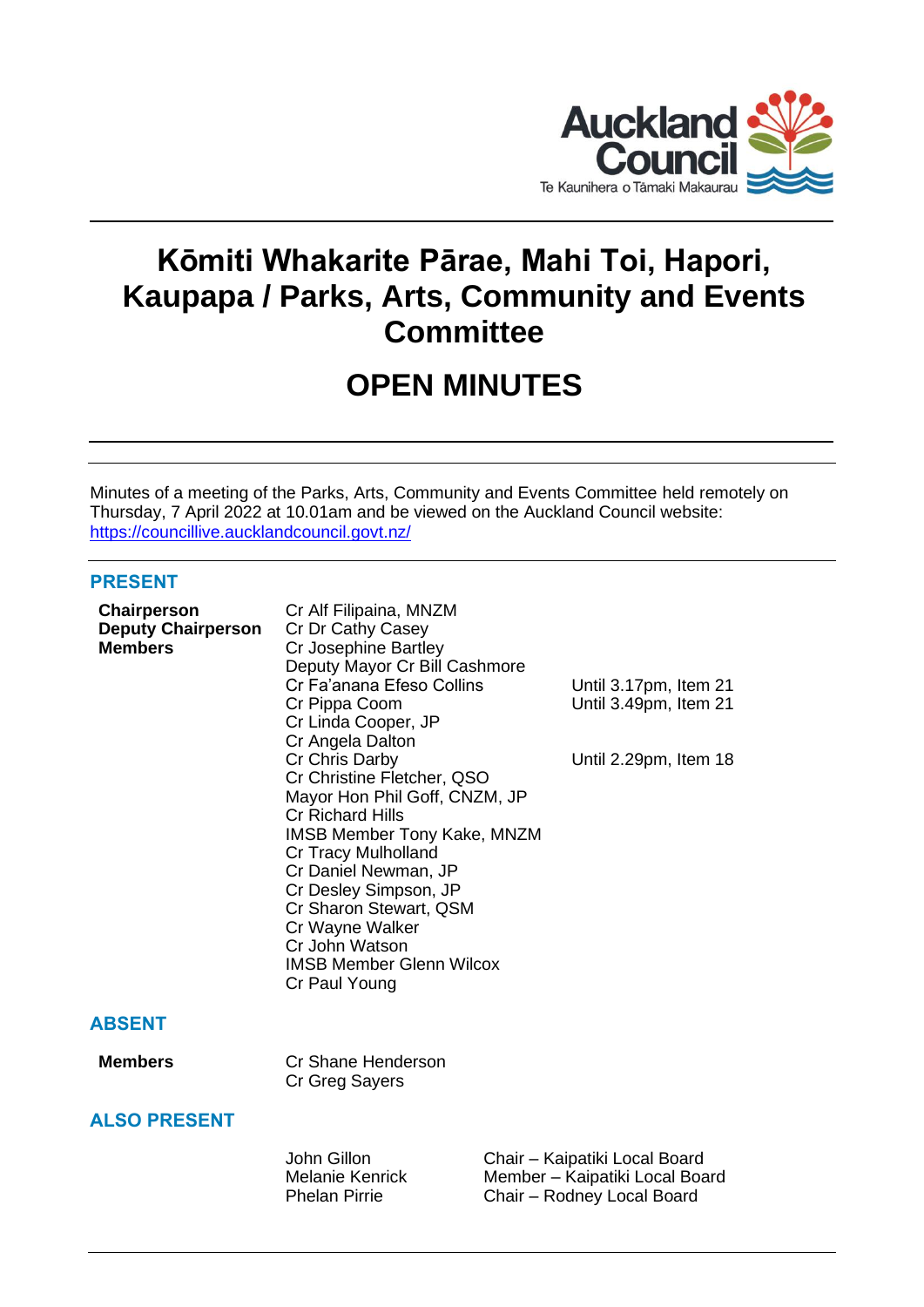

# **Kōmiti Whakarite Pārae, Mahi Toi, Hapori, Kaupapa / Parks, Arts, Community and Events Committee**

# **OPEN MINUTES**

Minutes of a meeting of the Parks, Arts, Community and Events Committee held remotely on Thursday, 7 April 2022 at 10.01am and be viewed on the Auckland Council website: <https://councillive.aucklandcouncil.govt.nz/>

# **PRESENT**

| Chairperson<br><b>Deputy Chairperson</b><br><b>Members</b> | Cr Alf Filipaina, MNZM<br>Cr Dr Cathy Casey<br>Cr Josephine Bartley<br>Deputy Mayor Cr Bill Cashmore<br>Cr Fa'anana Efeso Collins<br>Cr Pippa Coom<br>Cr Linda Cooper, JP<br>Cr Angela Dalton<br>Cr Chris Darby<br>Cr Christine Fletcher, QSO<br>Mayor Hon Phil Goff, CNZM, JP<br><b>Cr Richard Hills</b><br><b>IMSB Member Tony Kake, MNZM</b><br>Cr Tracy Mulholland<br>Cr Daniel Newman, JP<br>Cr Desley Simpson, JP<br>Cr Sharon Stewart, QSM<br>Cr Wayne Walker<br>Cr John Watson<br><b>IMSB Member Glenn Wilcox</b><br>Cr Paul Young | Until 3.17pm, Item 21<br>Until 3.49pm, Item 21<br>Until 2.29pm, Item 18                       |
|------------------------------------------------------------|--------------------------------------------------------------------------------------------------------------------------------------------------------------------------------------------------------------------------------------------------------------------------------------------------------------------------------------------------------------------------------------------------------------------------------------------------------------------------------------------------------------------------------------------|-----------------------------------------------------------------------------------------------|
| <b>ABSENT</b>                                              |                                                                                                                                                                                                                                                                                                                                                                                                                                                                                                                                            |                                                                                               |
| <b>Members</b>                                             | Cr Shane Henderson<br>Cr Greg Sayers                                                                                                                                                                                                                                                                                                                                                                                                                                                                                                       |                                                                                               |
| <b>ALSO PRESENT</b>                                        |                                                                                                                                                                                                                                                                                                                                                                                                                                                                                                                                            |                                                                                               |
|                                                            | John Gillon<br>Melanie Kenrick<br><b>Phelan Pirrie</b>                                                                                                                                                                                                                                                                                                                                                                                                                                                                                     | Chair - Kaipatiki Local Board<br>Member - Kaipatiki Local Board<br>Chair - Rodney Local Board |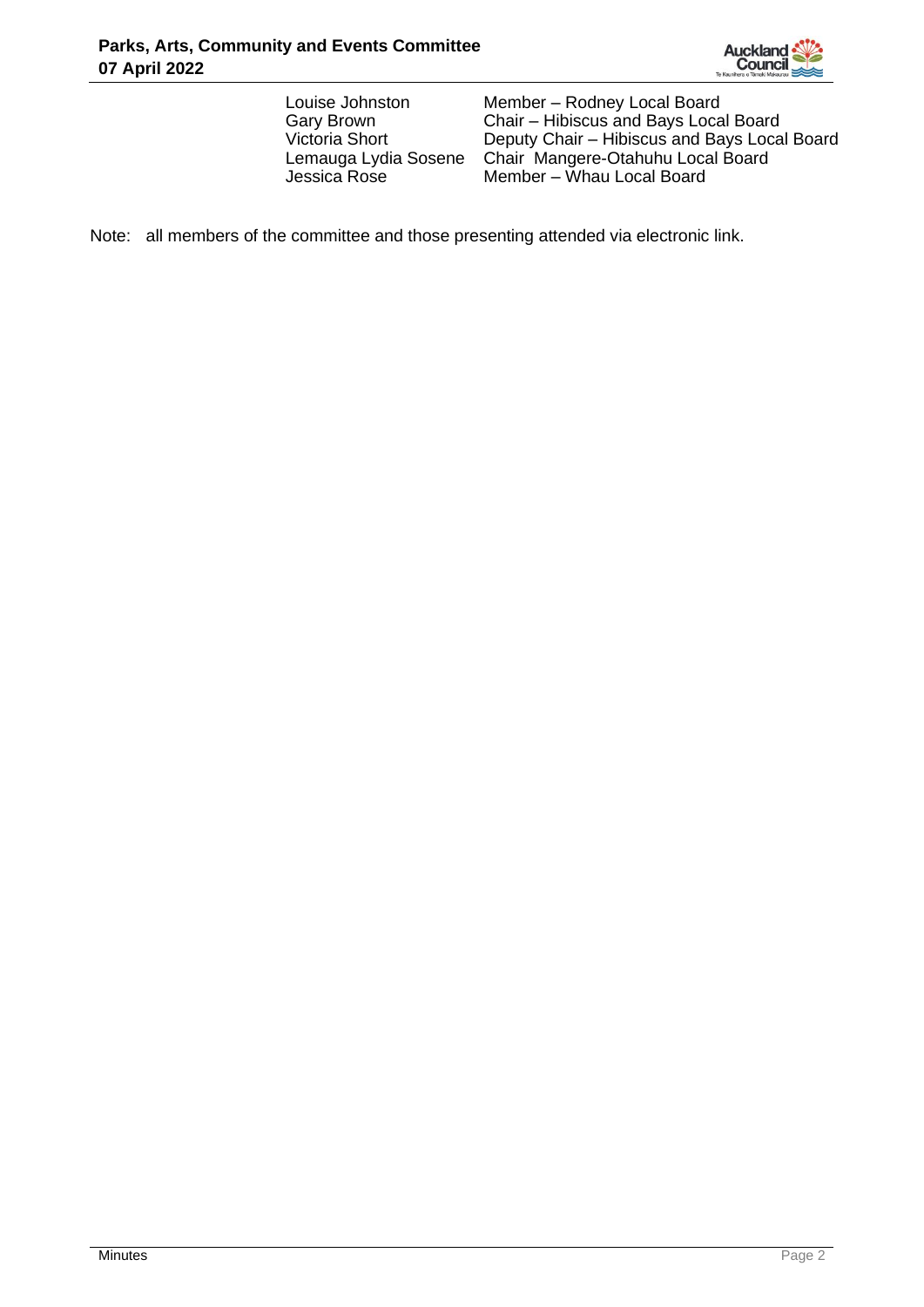

Louise Johnston Member – Rodney Local Board<br>Gary Brown Chair – Hibiscus and Bays Loca Chair – Hibiscus and Bays Local Board Victoria Short Deputy Chair – Hibiscus and Bays Local Board Lemauga Lydia Sosene Chair Mangere-Otahuhu Local Board Member – Whau Local Board

Note: all members of the committee and those presenting attended via electronic link.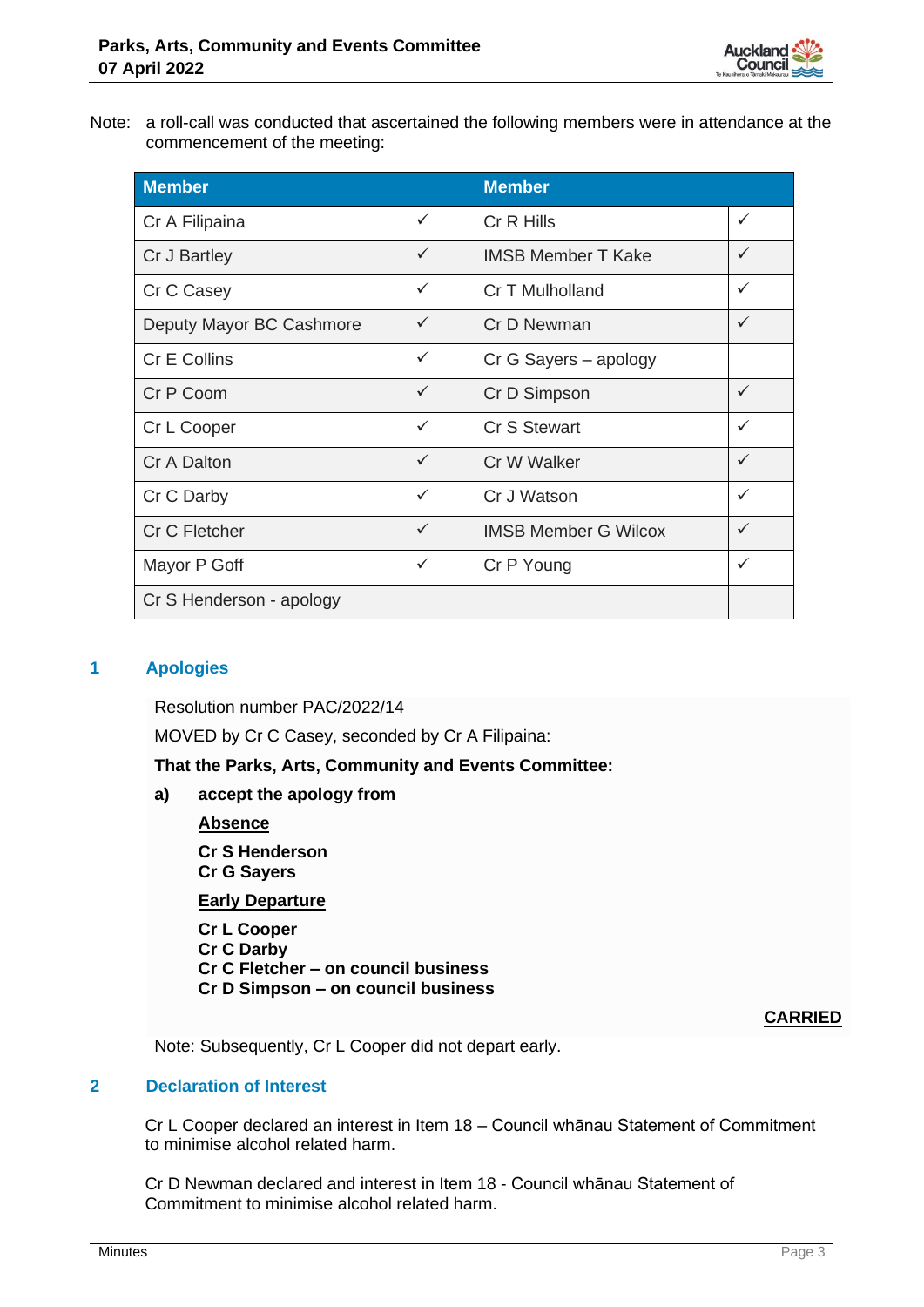

Note: a roll-call was conducted that ascertained the following members were in attendance at the commencement of the meeting:

| <b>Member</b>            |              | <b>Member</b>               |              |
|--------------------------|--------------|-----------------------------|--------------|
| Cr A Filipaina           | $\checkmark$ | Cr R Hills                  | $\checkmark$ |
| Cr J Bartley             | $\checkmark$ | <b>IMSB Member T Kake</b>   | $\checkmark$ |
| Cr C Casey               | $\checkmark$ | Cr T Mulholland             | $\checkmark$ |
| Deputy Mayor BC Cashmore | $\checkmark$ | Cr D Newman                 | $\checkmark$ |
| Cr E Collins             | $\checkmark$ | Cr G Sayers - apology       |              |
| Cr P Coom                | $\checkmark$ | Cr D Simpson                | $\checkmark$ |
| Cr L Cooper              | $\checkmark$ | Cr S Stewart                | $\checkmark$ |
| Cr A Dalton              | $\checkmark$ | Cr W Walker                 | $\checkmark$ |
| Cr C Darby               | $\checkmark$ | Cr J Watson                 | $\checkmark$ |
| Cr C Fletcher            | $\checkmark$ | <b>IMSB Member G Wilcox</b> | $\checkmark$ |
| Mayor P Goff             | $\checkmark$ | Cr P Young                  | $\checkmark$ |
| Cr S Henderson - apology |              |                             |              |

# **1 Apologies**

Resolution number PAC/2022/14

MOVED by Cr C Casey, seconded by Cr A Filipaina:

**That the Parks, Arts, Community and Events Committee:**

**a) accept the apology from**

## **Absence**

**Cr S Henderson Cr G Sayers**

**Early Departure**

**Cr L Cooper Cr C Darby Cr C Fletcher – on council business Cr D Simpson – on council business**

**CARRIED**

Note: Subsequently, Cr L Cooper did not depart early.

# **2 Declaration of Interest**

Cr L Cooper declared an interest in Item 18 – Council whānau Statement of Commitment to minimise alcohol related harm.

Cr D Newman declared and interest in Item 18 - Council whānau Statement of Commitment to minimise alcohol related harm.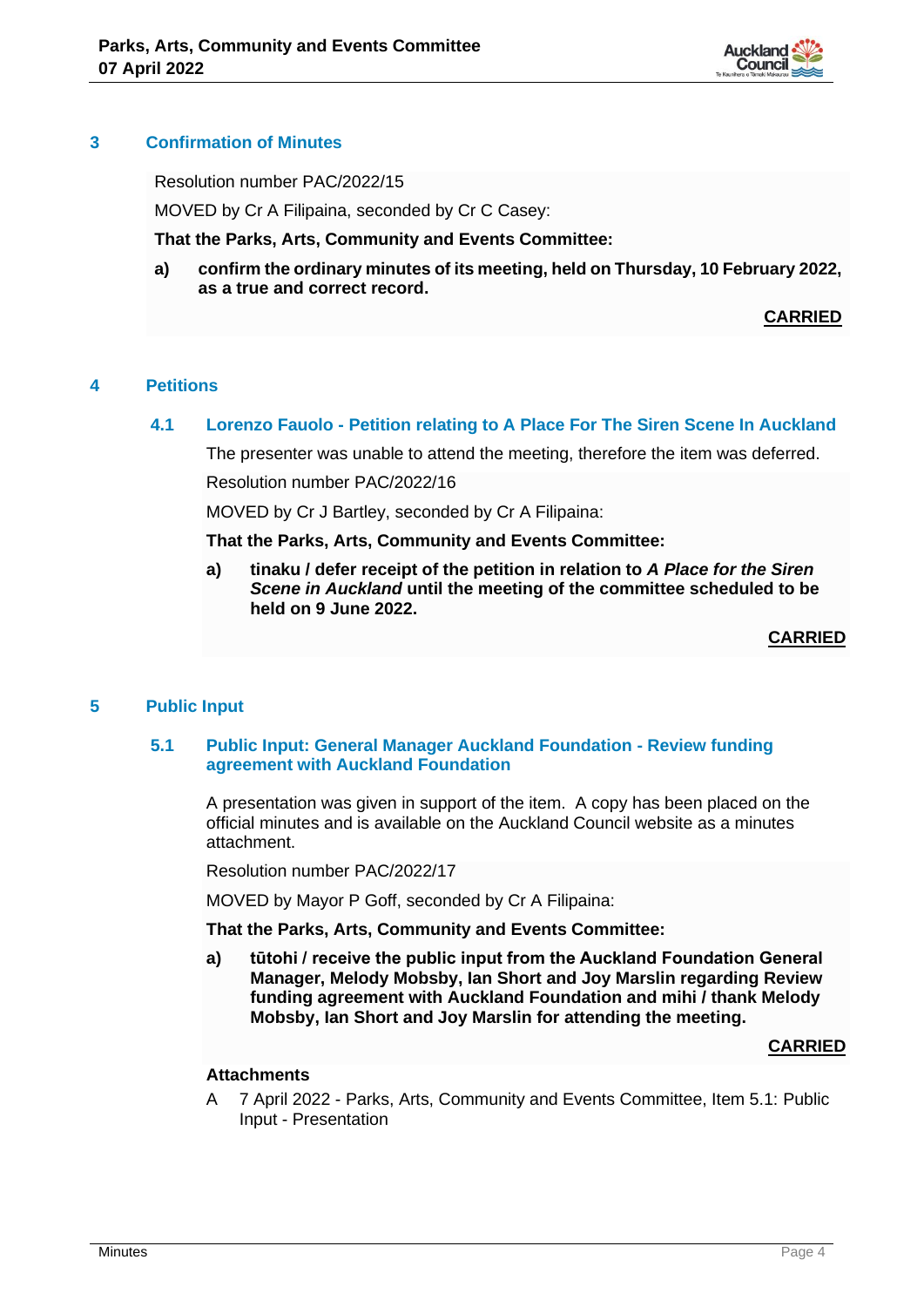

## **3 Confirmation of Minutes**

Resolution number PAC/2022/15

MOVED by Cr A Filipaina, seconded by Cr C Casey:

**That the Parks, Arts, Community and Events Committee:**

**a) confirm the ordinary minutes of its meeting, held on Thursday, 10 February 2022, as a true and correct record.**

**CARRIED**

# **4 Petitions**

## **4.1 Lorenzo Fauolo - Petition relating to A Place For The Siren Scene In Auckland**

The presenter was unable to attend the meeting, therefore the item was deferred.

Resolution number PAC/2022/16

MOVED by Cr J Bartley, seconded by Cr A Filipaina:

**That the Parks, Arts, Community and Events Committee:**

**a) tinaku / defer receipt of the petition in relation to** *A Place for the Siren Scene in Auckland* **until the meeting of the committee scheduled to be held on 9 June 2022.**

**CARRIED**

## **5 Public Input**

## **5.1 Public Input: General Manager Auckland Foundation - Review funding agreement with Auckland Foundation**

A presentation was given in support of the item. A copy has been placed on the official minutes and is available on the Auckland Council website as a minutes attachment.

Resolution number PAC/2022/17

MOVED by Mayor P Goff, seconded by Cr A Filipaina:

**That the Parks, Arts, Community and Events Committee:**

**a) tūtohi / receive the public input from the Auckland Foundation General Manager, Melody Mobsby, Ian Short and Joy Marslin regarding Review funding agreement with Auckland Foundation and mihi / thank Melody Mobsby, Ian Short and Joy Marslin for attending the meeting.**

#### **CARRIED**

#### **Attachments**

A 7 April 2022 - Parks, Arts, Community and Events Committee, Item 5.1: Public Input - Presentation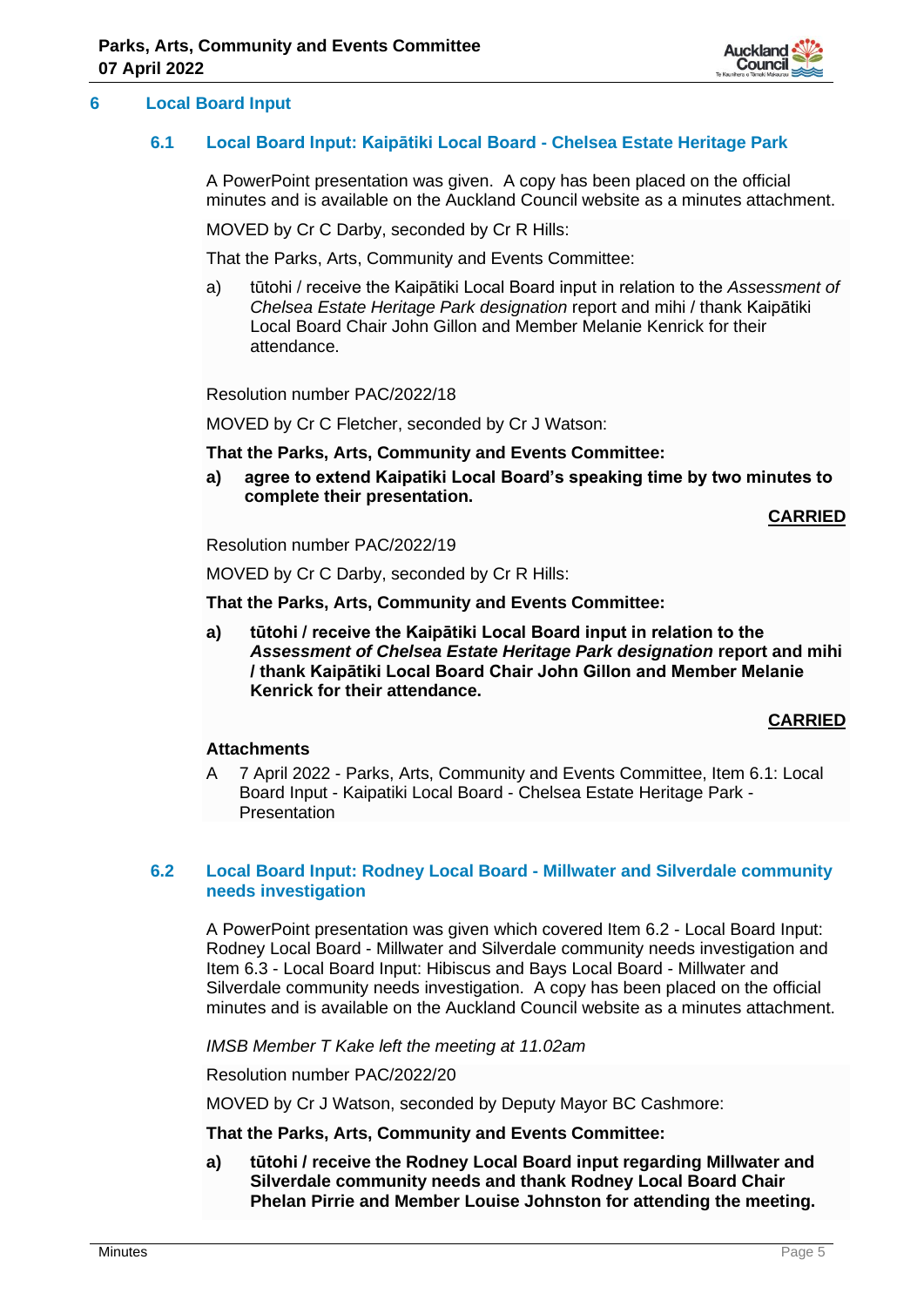

# **6 Local Board Input**

## **6.1 Local Board Input: Kaipātiki Local Board - Chelsea Estate Heritage Park**

A PowerPoint presentation was given. A copy has been placed on the official minutes and is available on the Auckland Council website as a minutes attachment.

MOVED by Cr C Darby, seconded by Cr R Hills:

That the Parks, Arts, Community and Events Committee:

a) tūtohi / receive the Kaipātiki Local Board input in relation to the *Assessment of Chelsea Estate Heritage Park designation* report and mihi / thank Kaipātiki Local Board Chair John Gillon and Member Melanie Kenrick for their attendance.

Resolution number PAC/2022/18

MOVED by Cr C Fletcher, seconded by Cr J Watson:

## **That the Parks, Arts, Community and Events Committee:**

**a) agree to extend Kaipatiki Local Board's speaking time by two minutes to complete their presentation.**

**CARRIED**

Resolution number PAC/2022/19

MOVED by Cr C Darby, seconded by Cr R Hills:

**That the Parks, Arts, Community and Events Committee:**

**a) tūtohi / receive the Kaipātiki Local Board input in relation to the**  *Assessment of Chelsea Estate Heritage Park designation* **report and mihi / thank Kaipātiki Local Board Chair John Gillon and Member Melanie Kenrick for their attendance.**

# **CARRIED**

## **Attachments**

A 7 April 2022 - Parks, Arts, Community and Events Committee, Item 6.1: Local Board Input - Kaipatiki Local Board - Chelsea Estate Heritage Park - Presentation

## **6.2 Local Board Input: Rodney Local Board - Millwater and Silverdale community needs investigation**

A PowerPoint presentation was given which covered Item 6.2 - Local Board Input: Rodney Local Board - Millwater and Silverdale community needs investigation and Item 6.3 - Local Board Input: Hibiscus and Bays Local Board - Millwater and Silverdale community needs investigation. A copy has been placed on the official minutes and is available on the Auckland Council website as a minutes attachment.

*IMSB Member T Kake left the meeting at 11.02am*

Resolution number PAC/2022/20

MOVED by Cr J Watson, seconded by Deputy Mayor BC Cashmore:

**That the Parks, Arts, Community and Events Committee:**

**a) tūtohi / receive the Rodney Local Board input regarding Millwater and Silverdale community needs and thank Rodney Local Board Chair Phelan Pirrie and Member Louise Johnston for attending the meeting.**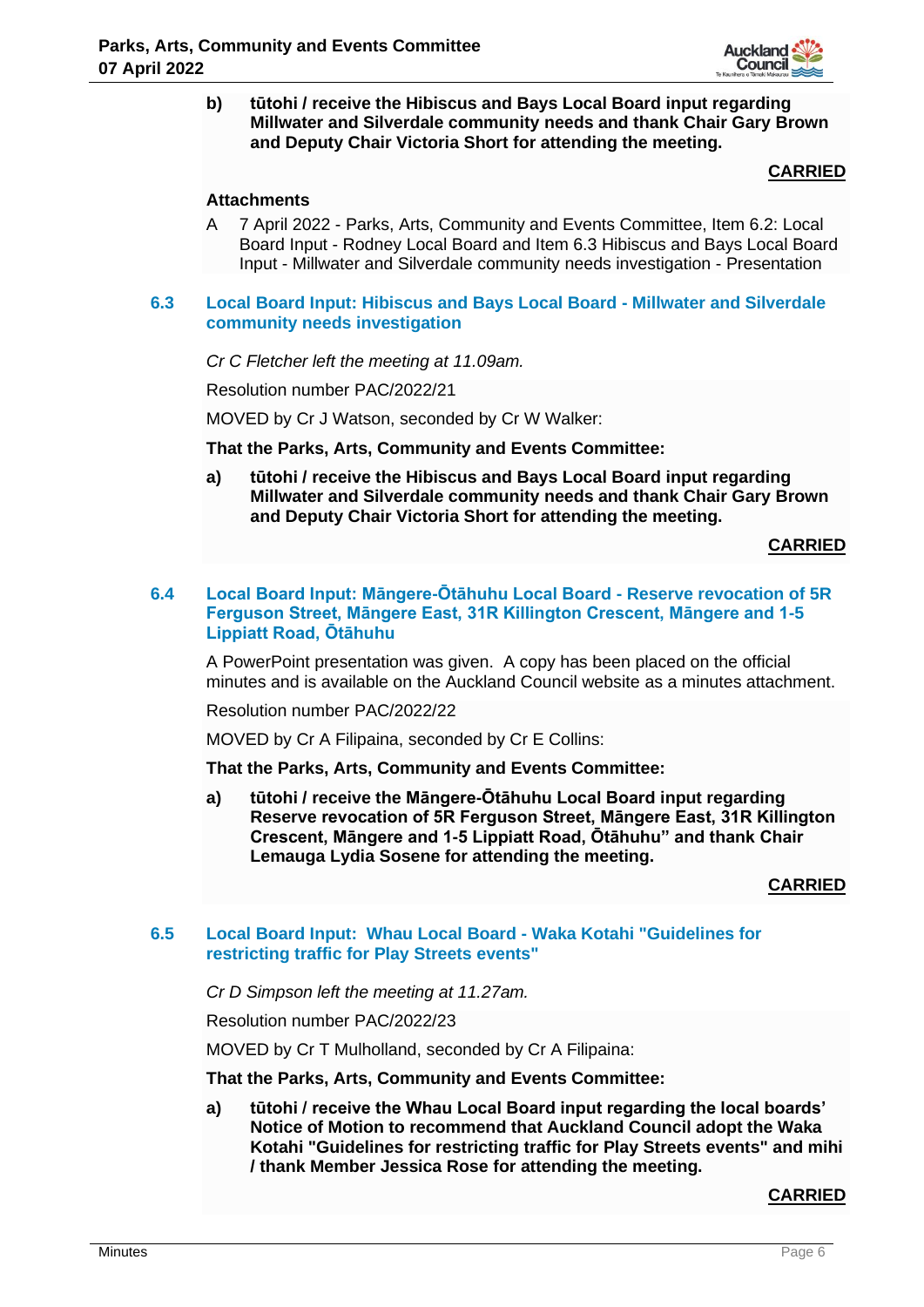

**b) tūtohi / receive the Hibiscus and Bays Local Board input regarding Millwater and Silverdale community needs and thank Chair Gary Brown and Deputy Chair Victoria Short for attending the meeting.**

## **CARRIED**

## **Attachments**

A 7 April 2022 - Parks, Arts, Community and Events Committee, Item 6.2: Local Board Input - Rodney Local Board and Item 6.3 Hibiscus and Bays Local Board Input - Millwater and Silverdale community needs investigation - Presentation

## **6.3 Local Board Input: Hibiscus and Bays Local Board - Millwater and Silverdale community needs investigation**

*Cr C Fletcher left the meeting at 11.09am.*

Resolution number PAC/2022/21

MOVED by Cr J Watson, seconded by Cr W Walker:

## **That the Parks, Arts, Community and Events Committee:**

**a) tūtohi / receive the Hibiscus and Bays Local Board input regarding Millwater and Silverdale community needs and thank Chair Gary Brown and Deputy Chair Victoria Short for attending the meeting.**

#### **CARRIED**

# **6.4 Local Board Input: Māngere-Ōtāhuhu Local Board - Reserve revocation of 5R Ferguson Street, Māngere East, 31R Killington Crescent, Māngere and 1-5 Lippiatt Road, Ōtāhuhu**

A PowerPoint presentation was given. A copy has been placed on the official minutes and is available on the Auckland Council website as a minutes attachment.

Resolution number PAC/2022/22

MOVED by Cr A Filipaina, seconded by Cr E Collins:

**That the Parks, Arts, Community and Events Committee:**

**a) tūtohi / receive the Māngere-Ōtāhuhu Local Board input regarding Reserve revocation of 5R Ferguson Street, Māngere East, 31R Killington Crescent, Māngere and 1-5 Lippiatt Road, Ōtāhuhu" and thank Chair Lemauga Lydia Sosene for attending the meeting.**

## **CARRIED**

## **6.5 Local Board Input: Whau Local Board - Waka Kotahi "Guidelines for restricting traffic for Play Streets events"**

*Cr D Simpson left the meeting at 11.27am.*

Resolution number PAC/2022/23

MOVED by Cr T Mulholland, seconded by Cr A Filipaina:

## **That the Parks, Arts, Community and Events Committee:**

**a) tūtohi / receive the Whau Local Board input regarding the local boards' Notice of Motion to recommend that Auckland Council adopt the Waka Kotahi "Guidelines for restricting traffic for Play Streets events" and mihi / thank Member Jessica Rose for attending the meeting.**

## **CARRIED**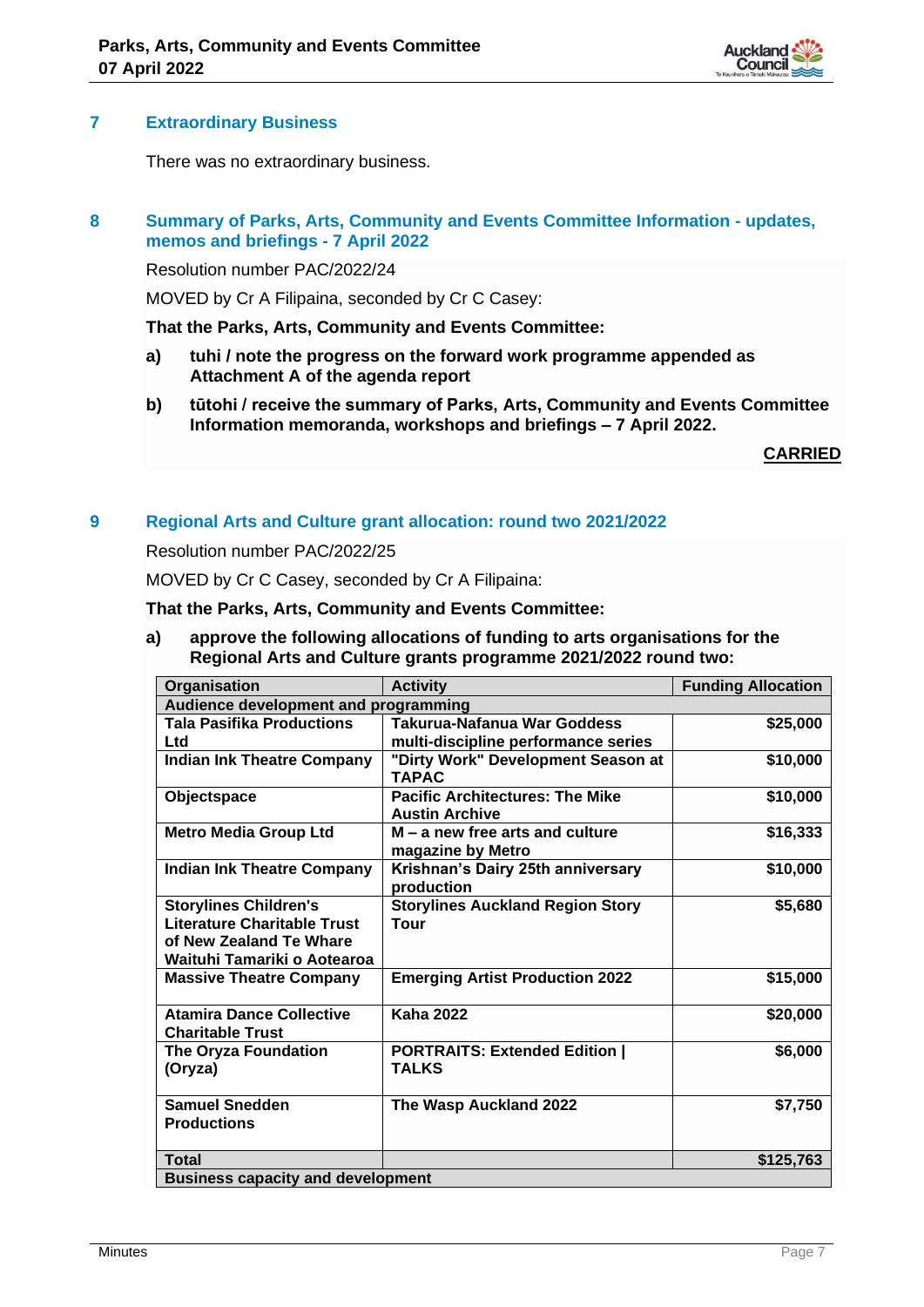

## **7 Extraordinary Business**

There was no extraordinary business.

# **8 Summary of Parks, Arts, Community and Events Committee Information - updates, memos and briefings - 7 April 2022**

Resolution number PAC/2022/24

MOVED by Cr A Filipaina, seconded by Cr C Casey:

**That the Parks, Arts, Community and Events Committee:**

- **a) tuhi / note the progress on the forward work programme appended as Attachment A of the agenda report**
- **b) tūtohi / receive the summary of Parks, Arts, Community and Events Committee Information memoranda, workshops and briefings – 7 April 2022.**

**CARRIED**

## **9 Regional Arts and Culture grant allocation: round two 2021/2022**

Resolution number PAC/2022/25

MOVED by Cr C Casey, seconded by Cr A Filipaina:

**That the Parks, Arts, Community and Events Committee:**

**a) approve the following allocations of funding to arts organisations for the Regional Arts and Culture grants programme 2021/2022 round two:**

| Organisation                                                                                                                 | <b>Activity</b>                                                 | <b>Funding Allocation</b> |  |
|------------------------------------------------------------------------------------------------------------------------------|-----------------------------------------------------------------|---------------------------|--|
| Audience development and programming                                                                                         |                                                                 |                           |  |
| <b>Tala Pasifika Productions</b>                                                                                             | Takurua-Nafanua War Goddess                                     | \$25,000                  |  |
| Ltd                                                                                                                          | multi-discipline performance series                             |                           |  |
| <b>Indian Ink Theatre Company</b>                                                                                            | "Dirty Work" Development Season at<br><b>TAPAC</b>              | \$10,000                  |  |
| Objectspace                                                                                                                  | <b>Pacific Architectures: The Mike</b><br><b>Austin Archive</b> | \$10,000                  |  |
| <b>Metro Media Group Ltd</b>                                                                                                 | $M - a$ new free arts and culture<br>magazine by Metro          | \$16,333                  |  |
| <b>Indian Ink Theatre Company</b>                                                                                            | Krishnan's Dairy 25th anniversary<br>production                 | \$10,000                  |  |
| <b>Storylines Children's</b><br><b>Literature Charitable Trust</b><br>of New Zealand Te Whare<br>Waituhi Tamariki o Aotearoa | <b>Storylines Auckland Region Story</b><br>Tour                 | \$5,680                   |  |
| <b>Massive Theatre Company</b>                                                                                               | <b>Emerging Artist Production 2022</b>                          | \$15,000                  |  |
| <b>Atamira Dance Collective</b><br><b>Charitable Trust</b>                                                                   | <b>Kaha 2022</b>                                                | \$20,000                  |  |
| The Oryza Foundation<br>(Oryza)                                                                                              | <b>PORTRAITS: Extended Edition  </b><br><b>TALKS</b>            | \$6,000                   |  |
| <b>Samuel Snedden</b><br><b>Productions</b>                                                                                  | The Wasp Auckland 2022                                          | \$7,750                   |  |
| <b>Total</b>                                                                                                                 |                                                                 | \$125,763                 |  |
| <b>Business capacity and development</b>                                                                                     |                                                                 |                           |  |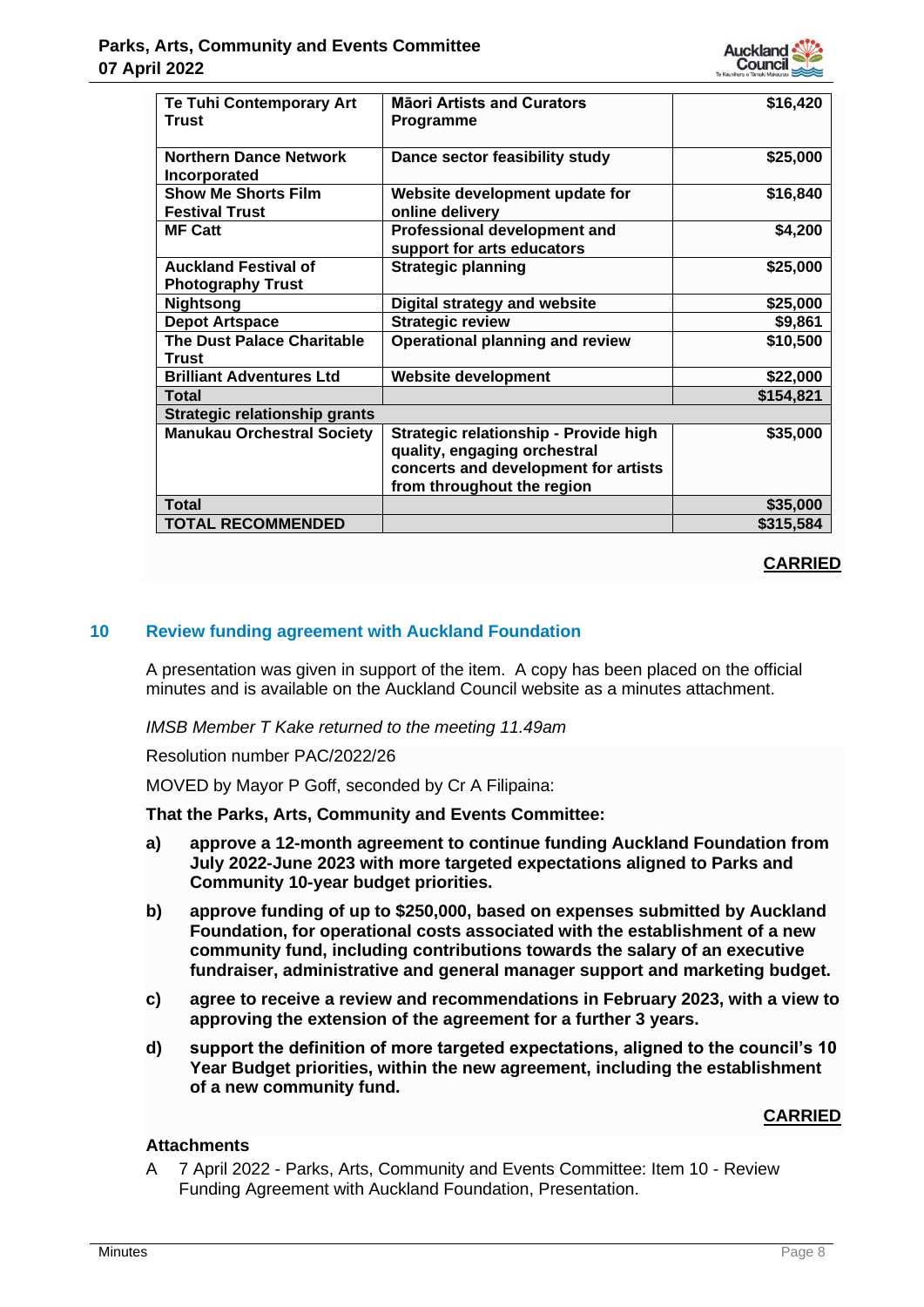

| <b>Te Tuhi Contemporary Art</b>   | <b>Mäori Artists and Curators</b>      | \$16,420  |
|-----------------------------------|----------------------------------------|-----------|
| <b>Trust</b>                      | <b>Programme</b>                       |           |
| <b>Northern Dance Network</b>     | Dance sector feasibility study         | \$25,000  |
| Incorporated                      |                                        |           |
| <b>Show Me Shorts Film</b>        | Website development update for         | \$16,840  |
| <b>Festival Trust</b>             | online delivery                        |           |
| <b>MF Catt</b>                    | Professional development and           | \$4,200   |
|                                   | support for arts educators             |           |
| <b>Auckland Festival of</b>       | <b>Strategic planning</b>              | \$25,000  |
| <b>Photography Trust</b>          |                                        |           |
| <b>Nightsong</b>                  | Digital strategy and website           | \$25,000  |
| <b>Depot Artspace</b>             | <b>Strategic review</b>                | \$9,861   |
| <b>The Dust Palace Charitable</b> | <b>Operational planning and review</b> | \$10,500  |
| Trust                             |                                        |           |
| <b>Brilliant Adventures Ltd</b>   | <b>Website development</b>             | \$22,000  |
| <b>Total</b>                      |                                        | \$154,821 |
| Strategic relationship grants     |                                        |           |
| <b>Manukau Orchestral Society</b> | Strategic relationship - Provide high  | \$35,000  |
|                                   | quality, engaging orchestral           |           |
|                                   | concerts and development for artists   |           |
|                                   | from throughout the region             |           |
| <b>Total</b>                      |                                        | \$35,000  |
| <b>TOTAL RECOMMENDED</b>          |                                        | \$315,584 |

# **CARRIED**

# **10 Review funding agreement with Auckland Foundation**

A presentation was given in support of the item. A copy has been placed on the official minutes and is available on the Auckland Council website as a minutes attachment.

*IMSB Member T Kake returned to the meeting 11.49am*

Resolution number PAC/2022/26

MOVED by Mayor P Goff, seconded by Cr A Filipaina:

**That the Parks, Arts, Community and Events Committee:**

- **a) approve a 12-month agreement to continue funding Auckland Foundation from July 2022-June 2023 with more targeted expectations aligned to Parks and Community 10-year budget priorities.**
- **b) approve funding of up to \$250,000, based on expenses submitted by Auckland Foundation, for operational costs associated with the establishment of a new community fund, including contributions towards the salary of an executive fundraiser, administrative and general manager support and marketing budget.**
- **c) agree to receive a review and recommendations in February 2023, with a view to approving the extension of the agreement for a further 3 years.**
- **d) support the definition of more targeted expectations, aligned to the council's 10 Year Budget priorities, within the new agreement, including the establishment of a new community fund.**

## **CARRIED**

# **Attachments**

A 7 April 2022 - Parks, Arts, Community and Events Committee: Item 10 - Review Funding Agreement with Auckland Foundation, Presentation.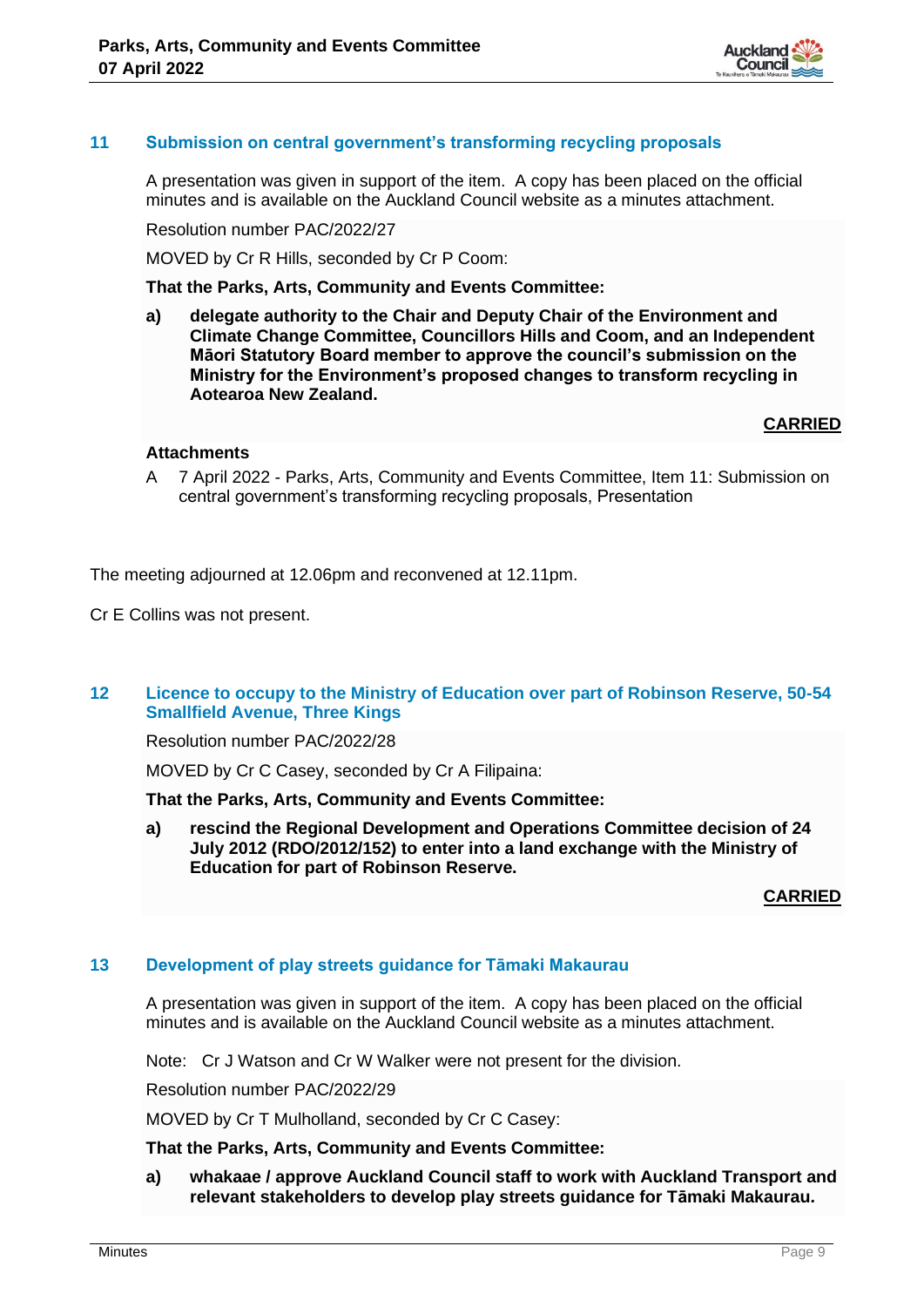

# **11 Submission on central government's transforming recycling proposals**

A presentation was given in support of the item. A copy has been placed on the official minutes and is available on the Auckland Council website as a minutes attachment.

Resolution number PAC/2022/27

MOVED by Cr R Hills, seconded by Cr P Coom:

**That the Parks, Arts, Community and Events Committee:**

**a) delegate authority to the Chair and Deputy Chair of the Environment and Climate Change Committee, Councillors Hills and Coom, and an Independent Māori Statutory Board member to approve the council's submission on the Ministry for the Environment's proposed changes to transform recycling in Aotearoa New Zealand.**

## **CARRIED**

## **Attachments**

A 7 April 2022 - Parks, Arts, Community and Events Committee, Item 11: Submission on central government's transforming recycling proposals, Presentation

The meeting adjourned at 12.06pm and reconvened at 12.11pm.

Cr E Collins was not present.

## **12 Licence to occupy to the Ministry of Education over part of Robinson Reserve, 50-54 Smallfield Avenue, Three Kings**

Resolution number PAC/2022/28

MOVED by Cr C Casey, seconded by Cr A Filipaina:

**That the Parks, Arts, Community and Events Committee:**

**a) rescind the Regional Development and Operations Committee decision of 24 July 2012 (RDO/2012/152) to enter into a land exchange with the Ministry of Education for part of Robinson Reserve.**

**CARRIED**

## **13 Development of play streets guidance for Tāmaki Makaurau**

A presentation was given in support of the item. A copy has been placed on the official minutes and is available on the Auckland Council website as a minutes attachment.

Note: Cr J Watson and Cr W Walker were not present for the division.

Resolution number PAC/2022/29

MOVED by Cr T Mulholland, seconded by Cr C Casey:

**That the Parks, Arts, Community and Events Committee:**

**a) whakaae / approve Auckland Council staff to work with Auckland Transport and relevant stakeholders to develop play streets guidance for Tāmaki Makaurau.**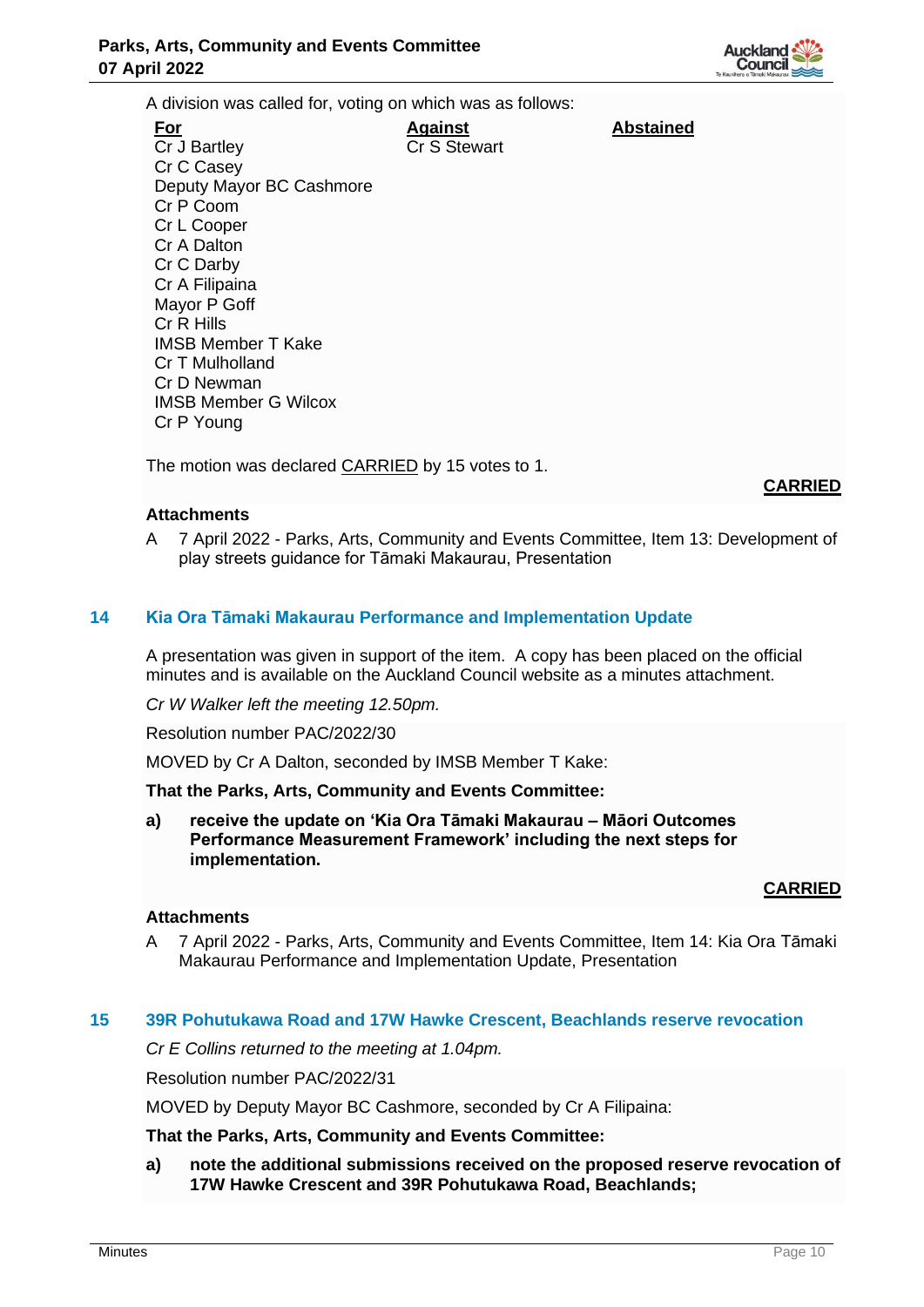

**Abstained**

A division was called for, voting on which was as follows:

| Against      |
|--------------|
| Cr S Stewart |
|              |
|              |
|              |
|              |
|              |
|              |
|              |
|              |
|              |
|              |
|              |
|              |
|              |
|              |
|              |

The motion was declared **CARRIED** by 15 votes to 1.

# **CARRIED**

## **Attachments**

A 7 April 2022 - Parks, Arts, Community and Events Committee, Item 13: Development of play streets guidance for Tāmaki Makaurau, Presentation

## **14 Kia Ora Tāmaki Makaurau Performance and Implementation Update**

A presentation was given in support of the item. A copy has been placed on the official minutes and is available on the Auckland Council website as a minutes attachment.

*Cr W Walker left the meeting 12.50pm.*

Resolution number PAC/2022/30

MOVED by Cr A Dalton, seconded by IMSB Member T Kake:

## **That the Parks, Arts, Community and Events Committee:**

**a) receive the update on 'Kia Ora Tāmaki Makaurau – Māori Outcomes Performance Measurement Framework' including the next steps for implementation.** 

## **CARRIED**

## **Attachments**

A 7 April 2022 - Parks, Arts, Community and Events Committee, Item 14: Kia Ora Tāmaki Makaurau Performance and Implementation Update, Presentation

## **15 39R Pohutukawa Road and 17W Hawke Crescent, Beachlands reserve revocation**

*Cr E Collins returned to the meeting at 1.04pm.*

Resolution number PAC/2022/31

MOVED by Deputy Mayor BC Cashmore, seconded by Cr A Filipaina:

## **That the Parks, Arts, Community and Events Committee:**

**a) note the additional submissions received on the proposed reserve revocation of 17W Hawke Crescent and 39R Pohutukawa Road, Beachlands;**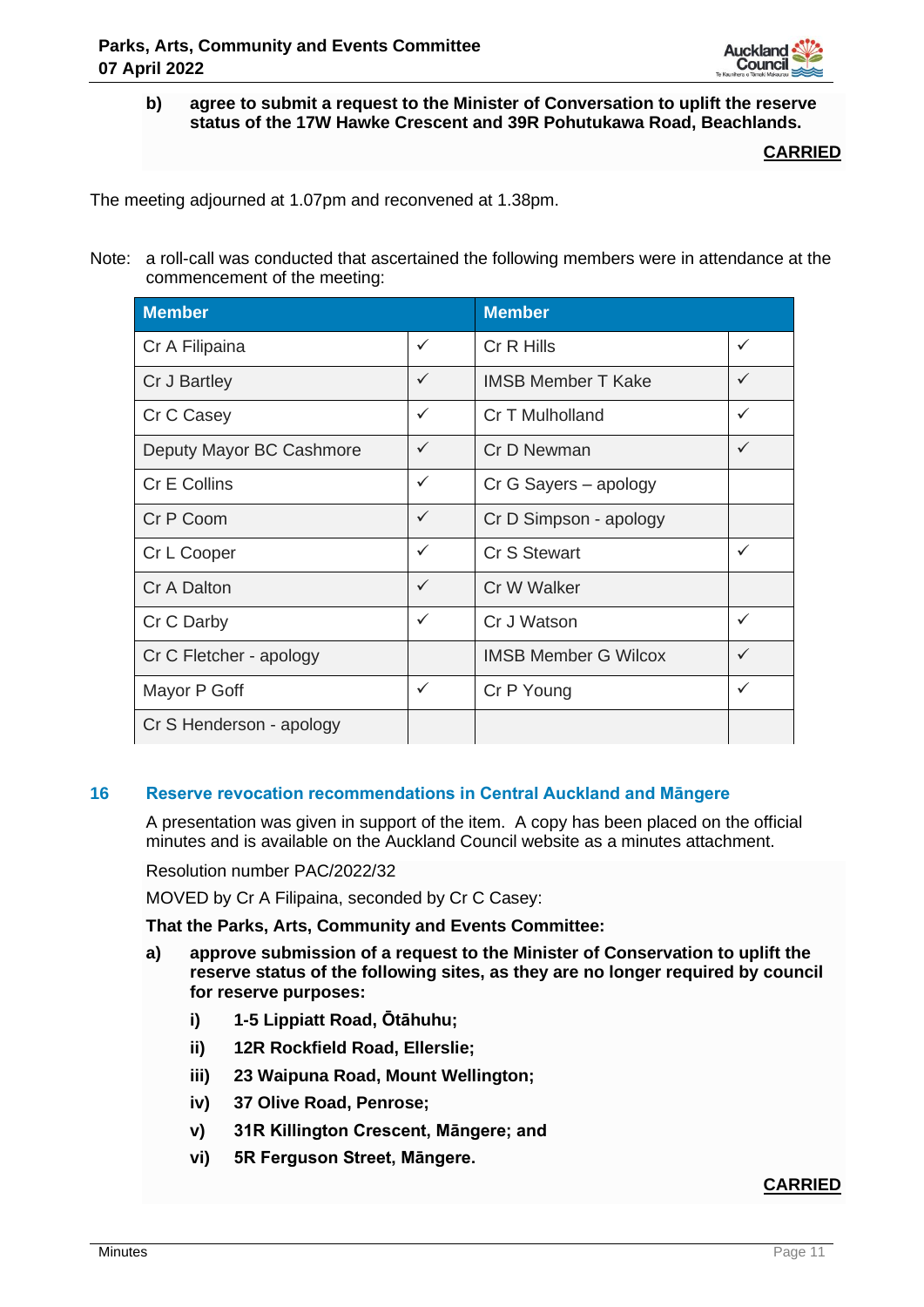

**b) agree to submit a request to the Minister of Conversation to uplift the reserve status of the 17W Hawke Crescent and 39R Pohutukawa Road, Beachlands.**

**CARRIED**

The meeting adjourned at 1.07pm and reconvened at 1.38pm.

Note: a roll-call was conducted that ascertained the following members were in attendance at the commencement of the meeting:

| <b>Member</b>            |              | <b>Member</b>               |              |
|--------------------------|--------------|-----------------------------|--------------|
| Cr A Filipaina           | $\checkmark$ | Cr R Hills                  | $\checkmark$ |
| Cr J Bartley             | $\checkmark$ | <b>IMSB Member T Kake</b>   | $\checkmark$ |
| Cr C Casey               | $\checkmark$ | Cr T Mulholland             | $\checkmark$ |
| Deputy Mayor BC Cashmore | $\checkmark$ | Cr D Newman                 | $\checkmark$ |
| Cr E Collins             | $\checkmark$ | Cr G Sayers - apology       |              |
| Cr P Coom                | $\checkmark$ | Cr D Simpson - apology      |              |
| Cr L Cooper              | $\checkmark$ | Cr S Stewart                | $\checkmark$ |
| Cr A Dalton              | $\checkmark$ | Cr W Walker                 |              |
| Cr C Darby               | ✓            | Cr J Watson                 | ✓            |
| Cr C Fletcher - apology  |              | <b>IMSB Member G Wilcox</b> | ✓            |
| Mayor P Goff             | $\checkmark$ | Cr P Young                  | ✓            |
| Cr S Henderson - apology |              |                             |              |

# **16 Reserve revocation recommendations in Central Auckland and Māngere**

A presentation was given in support of the item. A copy has been placed on the official minutes and is available on the Auckland Council website as a minutes attachment.

Resolution number PAC/2022/32

MOVED by Cr A Filipaina, seconded by Cr C Casey:

**That the Parks, Arts, Community and Events Committee:**

- **a) approve submission of a request to the Minister of Conservation to uplift the reserve status of the following sites, as they are no longer required by council for reserve purposes:**
	- **i) 1-5 Lippiatt Road, Ōtāhuhu;**
	- **ii) 12R Rockfield Road, Ellerslie;**
	- **iii) 23 Waipuna Road, Mount Wellington;**
	- **iv) 37 Olive Road, Penrose;**
	- **v) 31R Killington Crescent, Māngere; and**
	- **vi) 5R Ferguson Street, Māngere.**

# **CARRIED**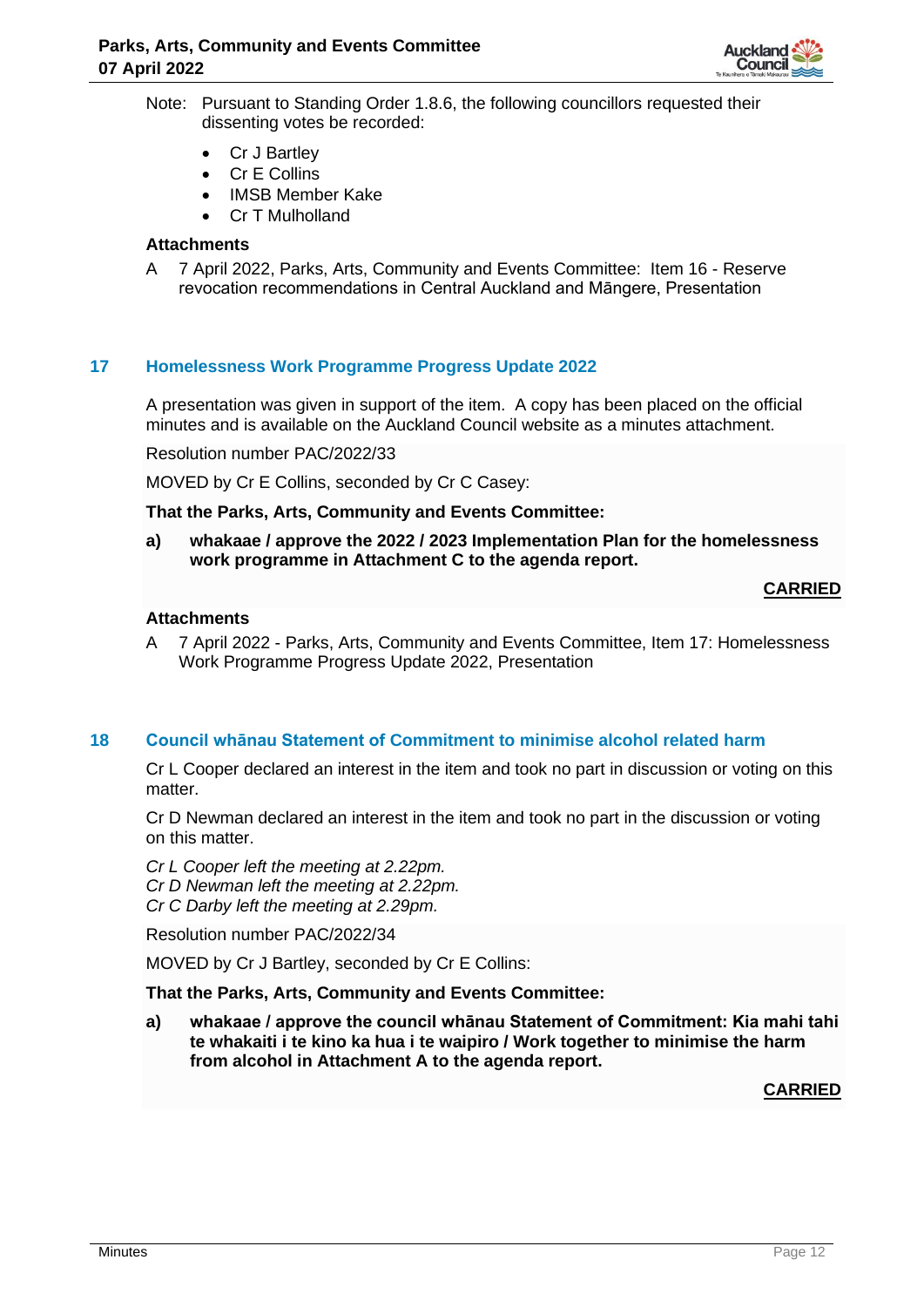

- Note: Pursuant to Standing Order 1.8.6, the following councillors requested their dissenting votes be recorded:
	- Cr J Bartley
	- Cr E Collins
	- IMSB Member Kake
	- Cr T Mulholland

## **Attachments**

A 7 April 2022, Parks, Arts, Community and Events Committee: Item 16 - Reserve revocation recommendations in Central Auckland and Māngere, Presentation

# **17 Homelessness Work Programme Progress Update 2022**

A presentation was given in support of the item. A copy has been placed on the official minutes and is available on the Auckland Council website as a minutes attachment.

Resolution number PAC/2022/33

MOVED by Cr E Collins, seconded by Cr C Casey:

**That the Parks, Arts, Community and Events Committee:**

**a) whakaae / approve the 2022 / 2023 Implementation Plan for the homelessness work programme in Attachment C to the agenda report.**

## **CARRIED**

## **Attachments**

A 7 April 2022 - Parks, Arts, Community and Events Committee, Item 17: Homelessness Work Programme Progress Update 2022, Presentation

## **18 Council whānau Statement of Commitment to minimise alcohol related harm**

Cr L Cooper declared an interest in the item and took no part in discussion or voting on this matter.

Cr D Newman declared an interest in the item and took no part in the discussion or voting on this matter.

*Cr L Cooper left the meeting at 2.22pm. Cr D Newman left the meeting at 2.22pm. Cr C Darby left the meeting at 2.29pm.*

Resolution number PAC/2022/34

MOVED by Cr J Bartley, seconded by Cr E Collins:

**That the Parks, Arts, Community and Events Committee:**

**a) whakaae / approve the council whānau Statement of Commitment: Kia mahi tahi te whakaiti i te kino ka hua i te waipiro / Work together to minimise the harm from alcohol in Attachment A to the agenda report.**

**CARRIED**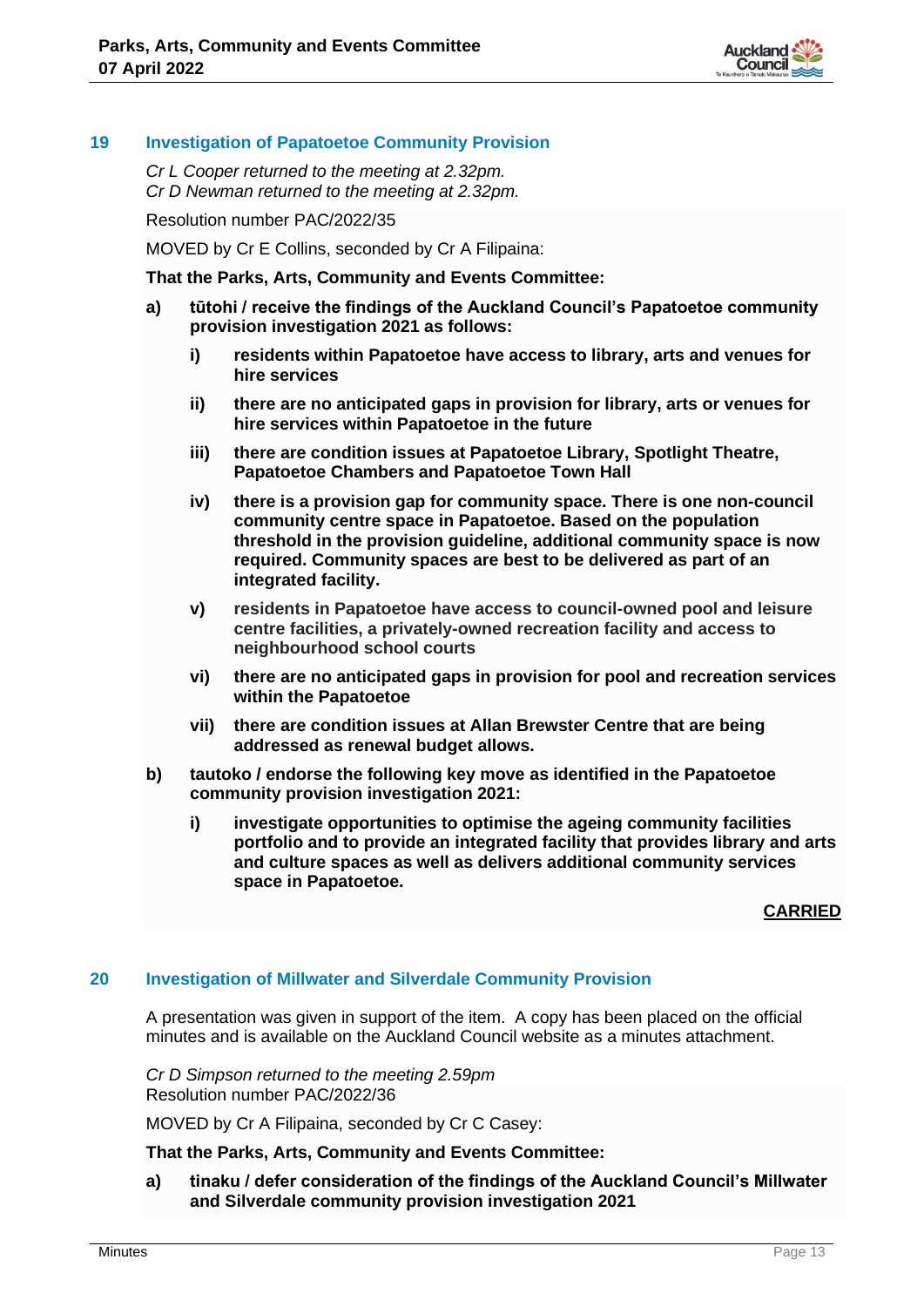

# **19 Investigation of Papatoetoe Community Provision**

*Cr L Cooper returned to the meeting at 2.32pm. Cr D Newman returned to the meeting at 2.32pm.*

Resolution number PAC/2022/35

MOVED by Cr E Collins, seconded by Cr A Filipaina:

**That the Parks, Arts, Community and Events Committee:**

- **a) tūtohi / receive the findings of the Auckland Council's Papatoetoe community provision investigation 2021 as follows:**
	- **i) residents within Papatoetoe have access to library, arts and venues for hire services**
	- **ii) there are no anticipated gaps in provision for library, arts or venues for hire services within Papatoetoe in the future**
	- **iii) there are condition issues at Papatoetoe Library, Spotlight Theatre, Papatoetoe Chambers and Papatoetoe Town Hall**
	- **iv) there is a provision gap for community space. There is one non-council community centre space in Papatoetoe. Based on the population threshold in the provision guideline, additional community space is now required. Community spaces are best to be delivered as part of an integrated facility.**
	- **v) residents in Papatoetoe have access to council-owned pool and leisure centre facilities, a privately-owned recreation facility and access to neighbourhood school courts**
	- **vi) there are no anticipated gaps in provision for pool and recreation services within the Papatoetoe**
	- **vii) there are condition issues at Allan Brewster Centre that are being addressed as renewal budget allows.**
- **b) tautoko / endorse the following key move as identified in the Papatoetoe community provision investigation 2021:** 
	- **i) investigate opportunities to optimise the ageing community facilities portfolio and to provide an integrated facility that provides library and arts and culture spaces as well as delivers additional community services space in Papatoetoe.**

**CARRIED**

# **20 Investigation of Millwater and Silverdale Community Provision**

A presentation was given in support of the item. A copy has been placed on the official minutes and is available on the Auckland Council website as a minutes attachment.

*Cr D Simpson returned to the meeting 2.59pm* Resolution number PAC/2022/36

MOVED by Cr A Filipaina, seconded by Cr C Casey:

**That the Parks, Arts, Community and Events Committee:**

**a) tinaku / defer consideration of the findings of the Auckland Council's Millwater and Silverdale community provision investigation 2021**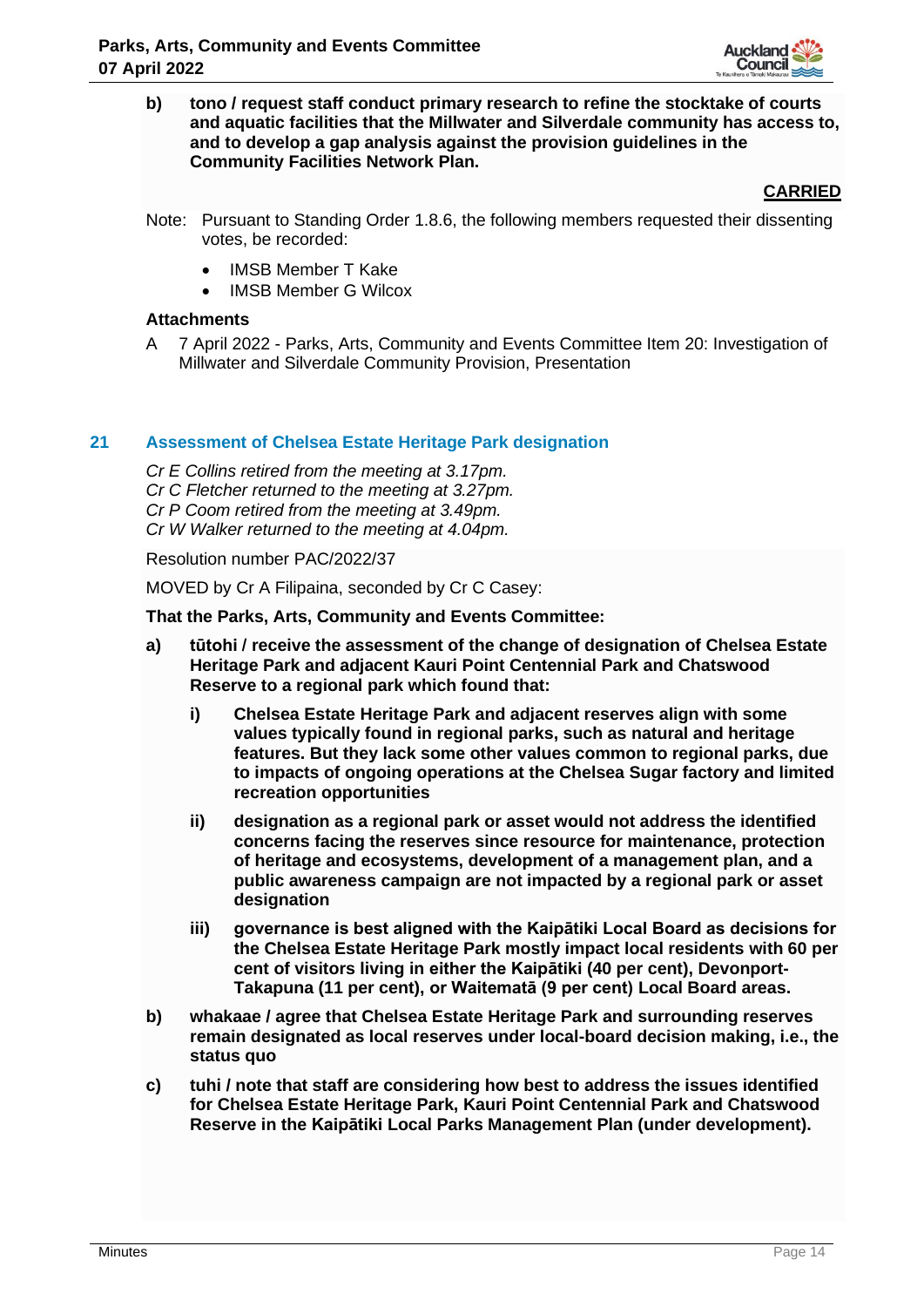

**b) tono / request staff conduct primary research to refine the stocktake of courts and aquatic facilities that the Millwater and Silverdale community has access to, and to develop a gap analysis against the provision guidelines in the Community Facilities Network Plan.**

## **CARRIED**

- Note: Pursuant to Standing Order 1.8.6, the following members requested their dissenting votes, be recorded:
	- IMSB Member T Kake
	- IMSB Member G Wilcox

## **Attachments**

A 7 April 2022 - Parks, Arts, Community and Events Committee Item 20: Investigation of Millwater and Silverdale Community Provision, Presentation

## **21 Assessment of Chelsea Estate Heritage Park designation**

*Cr E Collins retired from the meeting at 3.17pm. Cr C Fletcher returned to the meeting at 3.27pm. Cr P Coom retired from the meeting at 3.49pm. Cr W Walker returned to the meeting at 4.04pm.*

Resolution number PAC/2022/37

MOVED by Cr A Filipaina, seconded by Cr C Casey:

**That the Parks, Arts, Community and Events Committee:**

- **a) tūtohi / receive the assessment of the change of designation of Chelsea Estate Heritage Park and adjacent Kauri Point Centennial Park and Chatswood Reserve to a regional park which found that:**
	- **i) Chelsea Estate Heritage Park and adjacent reserves align with some values typically found in regional parks, such as natural and heritage features. But they lack some other values common to regional parks, due to impacts of ongoing operations at the Chelsea Sugar factory and limited recreation opportunities**
	- **ii) designation as a regional park or asset would not address the identified concerns facing the reserves since resource for maintenance, protection of heritage and ecosystems, development of a management plan, and a public awareness campaign are not impacted by a regional park or asset designation**
	- **iii) governance is best aligned with the Kaipātiki Local Board as decisions for the Chelsea Estate Heritage Park mostly impact local residents with 60 per cent of visitors living in either the Kaipātiki (40 per cent), Devonport-Takapuna (11 per cent), or Waitematā (9 per cent) Local Board areas.**
- **b) whakaae / agree that Chelsea Estate Heritage Park and surrounding reserves remain designated as local reserves under local-board decision making, i.e., the status quo**
- **c) tuhi / note that staff are considering how best to address the issues identified for Chelsea Estate Heritage Park, Kauri Point Centennial Park and Chatswood Reserve in the Kaipātiki Local Parks Management Plan (under development).**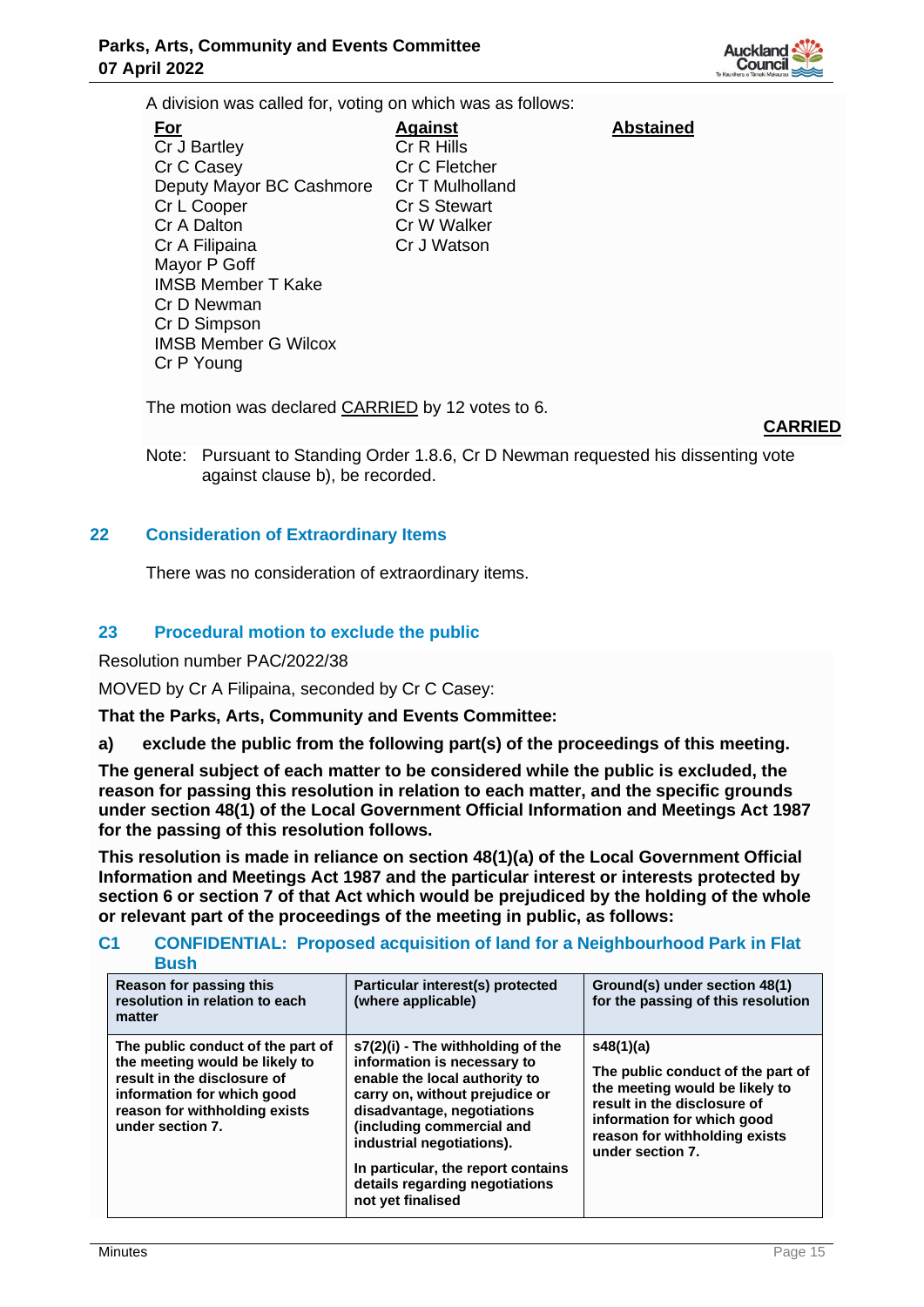

A division was called for, voting on which was as follows:

**For** Cr J Bartley Cr C Casey Deputy Mayor BC Cashmore Cr L Cooper Cr A Dalton Cr A Filipaina Mayor P Goff IMSB Member T Kake Cr D Newman Cr D Simpson IMSB Member G Wilcox Cr P Young **Against** Cr R Hills Cr C Fletcher Cr T Mulholland Cr S Stewart Cr W Walker Cr J Watson

**Abstained**

The motion was declared CARRIED by 12 votes to 6.

# **CARRIED**

Note: Pursuant to Standing Order 1.8.6, Cr D Newman requested his dissenting vote against clause b), be recorded.

## **22 Consideration of Extraordinary Items**

There was no consideration of extraordinary items.

## **23 Procedural motion to exclude the public**

Resolution number PAC/2022/38

MOVED by Cr A Filipaina, seconded by Cr C Casey:

**That the Parks, Arts, Community and Events Committee:**

**a) exclude the public from the following part(s) of the proceedings of this meeting.**

**The general subject of each matter to be considered while the public is excluded, the reason for passing this resolution in relation to each matter, and the specific grounds under section 48(1) of the Local Government Official Information and Meetings Act 1987 for the passing of this resolution follows.**

**This resolution is made in reliance on section 48(1)(a) of the Local Government Official Information and Meetings Act 1987 and the particular interest or interests protected by section 6 or section 7 of that Act which would be prejudiced by the holding of the whole or relevant part of the proceedings of the meeting in public, as follows:**

## **C1 CONFIDENTIAL: Proposed acquisition of land for a Neighbourhood Park in Flat Bush**

| Reason for passing this<br>resolution in relation to each<br>matter                                                                                                                   | Particular interest(s) protected<br>(where applicable)                                                                                                                                                                                                                                                                     | Ground(s) under section 48(1)<br>for the passing of this resolution                                                                                                                                |
|---------------------------------------------------------------------------------------------------------------------------------------------------------------------------------------|----------------------------------------------------------------------------------------------------------------------------------------------------------------------------------------------------------------------------------------------------------------------------------------------------------------------------|----------------------------------------------------------------------------------------------------------------------------------------------------------------------------------------------------|
| The public conduct of the part of<br>the meeting would be likely to<br>result in the disclosure of<br>information for which good<br>reason for withholding exists<br>under section 7. | $s7(2)(i)$ - The withholding of the<br>information is necessary to<br>enable the local authority to<br>carry on, without prejudice or<br>disadvantage, negotiations<br>(including commercial and<br>industrial negotiations).<br>In particular, the report contains<br>details regarding negotiations<br>not yet finalised | s48(1)(a)<br>The public conduct of the part of<br>the meeting would be likely to<br>result in the disclosure of<br>information for which good<br>reason for withholding exists<br>under section 7. |